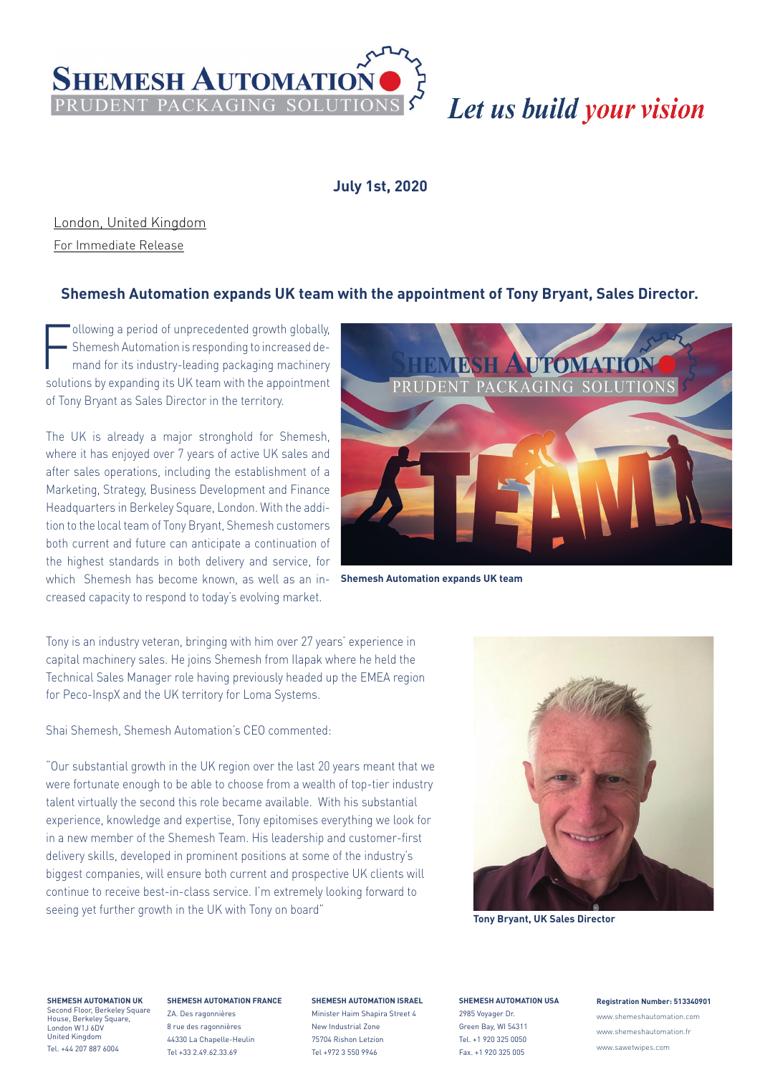

# Let us build your vision

## **July 1st, 2020**

London, United Kingdom

For Immediate Release

## **Shemesh Automation expands UK team with the appointment of Tony Bryant, Sales Director.**

Following a period of unprecedented growth globally,<br>
Shemesh Automation is responding to increased de-<br>
mand for its industry-leading packaging machinery Shemesh Automation is responding to increased desolutions by expanding its UK team with the appointment of Tony Bryant as Sales Director in the territory.

The UK is already a major stronghold for Shemesh, where it has enjoyed over 7 years of active UK sales and after sales operations, including the establishment of a Marketing, Strategy, Business Development and Finance Headquarters in Berkeley Square, London. With the addition to the local team of Tony Bryant, Shemesh customers both current and future can anticipate a continuation of the highest standards in both delivery and service, for which Shemesh has become known, as well as an increased capacity to respond to today's evolving market.



**Shemesh Automation expands UK team**

Tony is an industry veteran, bringing with him over 27 years' experience in capital machinery sales. He joins Shemesh from Ilapak where he held the Technical Sales Manager role having previously headed up the EMEA region for Peco-InspX and the UK territory for Loma Systems.

Shai Shemesh, Shemesh Automation's CEO commented:

"Our substantial growth in the UK region over the last 20 years meant that we were fortunate enough to be able to choose from a wealth of top-tier industry talent virtually the second this role became available. With his substantial experience, knowledge and expertise, Tony epitomises everything we look for in a new member of the Shemesh Team. His leadership and customer-first delivery skills, developed in prominent positions at some of the industry's biggest companies, will ensure both current and prospective UK clients will continue to receive best-in-class service. I'm extremely looking forward to seeing yet further growth in the UK with Tony on board" **Tony Bryant, UK Sales Director** 



**SHEMESH AUTOMATION UK** -----------------------------<br>econd Floor, Berkeley Square House, Berkeley Square, London W1J 6DV

United Kingdom Tel. +44 207 887 6004

### **SHEMESH AUTOMATION FRANCE** ZA. Des ragonnières

8 rue des ragonnières 44330 La Chapelle-Heulin Tel +33 2.49.62.33.69

### **SHEMESH AUTOMATION ISRAEL**

Minister Haim Shapira Street 4 New Industrial Zone 75704 Rishon Letzion Tel +972 3 550 9946

**SHEMESH AUTOMATION USA** 2985 Voyager Dr. Green Bay, WI 54311 Tel. +1 920 325 0050 Fax. +1 920 325 005

### **Registration Number: 513340901**

www.shemeshautomation.com www.shemeshautomation.fr www.sawetwipes.com